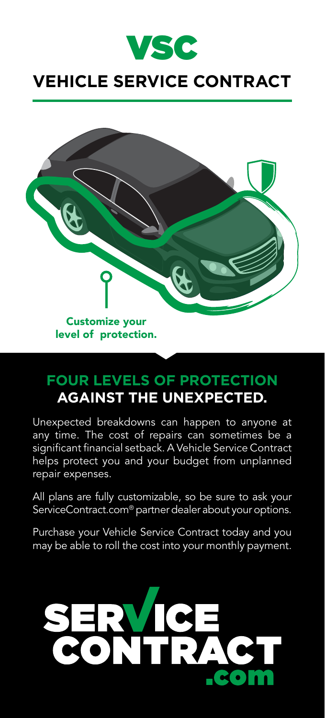

# **VEHICLE SERVICE CONTRACT**



# **FOUR LEVELS OF PROTECTION AGAINST THE UNEXPECTED.**

Unexpected breakdowns can happen to anyone at any time. The cost of repairs can sometimes be a significant financial setback. A Vehicle Service Contract helps protect you and your budget from unplanned repair expenses.

All plans are fully customizable, so be sure to ask your ServiceContract.com® partner dealer about your options.

Purchase your Vehicle Service Contract today and you may be able to roll the cost into your monthly payment.